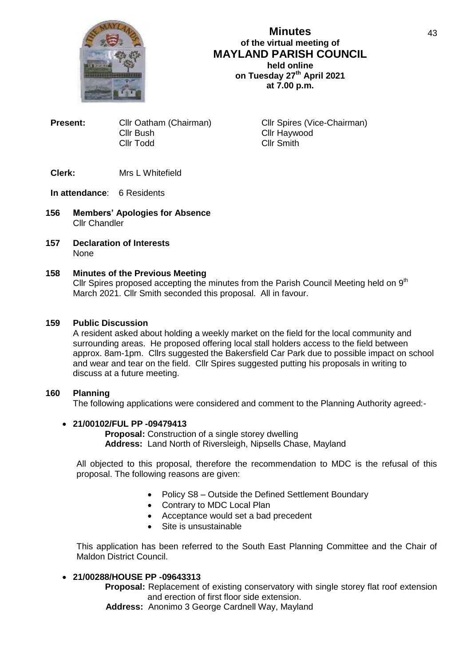

# **Minutes of the virtual meeting of MAYLAND PARISH COUNCIL held online on Tuesday 27th April 2021 at 7.00 p.m.**

**Present:** Cllr Oatham (Chairman) Cllr Spires (Vice-Chairman) Cllr Bush Cllr Haywood Cllr Todd Cllr Smith

# **Clerk:** Mrs L Whitefield

## **In attendance**: 6 Residents

- **156 Members' Apologies for Absence** Cllr Chandler
- **157 Declaration of Interests** None

# **158 Minutes of the Previous Meeting**

Cllr Spires proposed accepting the minutes from the Parish Council Meeting held on  $9<sup>th</sup>$ March 2021. Cllr Smith seconded this proposal. All in favour.

## **159 Public Discussion**

A resident asked about holding a weekly market on the field for the local community and surrounding areas. He proposed offering local stall holders access to the field between approx. 8am-1pm. Cllrs suggested the Bakersfield Car Park due to possible impact on school and wear and tear on the field. Cllr Spires suggested putting his proposals in writing to discuss at a future meeting.

### **160 Planning**

The following applications were considered and comment to the Planning Authority agreed:-

### **21/00102/FUL PP -09479413**

**Proposal:** Construction of a single storey dwelling **Address:** Land North of Riversleigh, Nipsells Chase, Mayland

All objected to this proposal, therefore the recommendation to MDC is the refusal of this proposal. The following reasons are given:

- Policy S8 Outside the Defined Settlement Boundary
- Contrary to MDC Local Plan
- Acceptance would set a bad precedent
- Site is unsustainable

This application has been referred to the South East Planning Committee and the Chair of Maldon District Council.

# **21/00288/HOUSE PP -09643313**

**Proposal:** Replacement of existing conservatory with single storey flat roof extension and erection of first floor side extension.

**Address:** Anonimo 3 George Cardnell Way, Mayland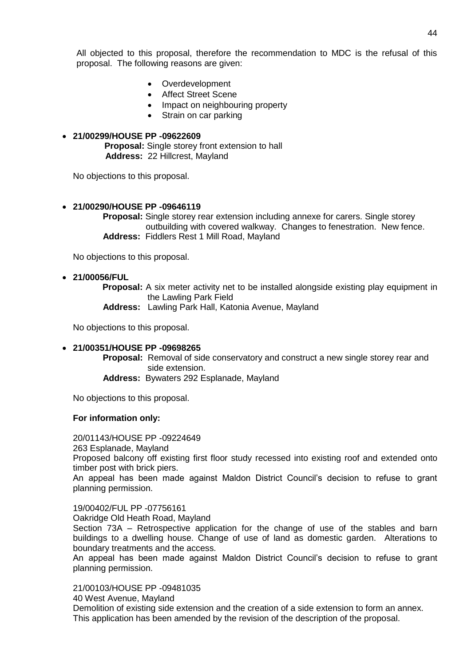All objected to this proposal, therefore the recommendation to MDC is the refusal of this proposal. The following reasons are given:

- Overdevelopment
- Affect Street Scene
- Impact on neighbouring property
- Strain on car parking

# **21/00299/HOUSE PP -09622609 Proposal:** Single storey front extension to hall **Address:** 22 Hillcrest, Mayland

No objections to this proposal.

# **21/00290/HOUSE PP -09646119**

 **Proposal:** Single storey rear extension including annexe for carers. Single storey outbuilding with covered walkway. Changes to fenestration. New fence. **Address:** Fiddlers Rest 1 Mill Road, Mayland

No objections to this proposal.

# **21/00056/FUL**

 **Proposal:** A six meter activity net to be installed alongside existing play equipment in the Lawling Park Field

 **Address:** Lawling Park Hall, Katonia Avenue, Mayland

No objections to this proposal.

# **21/00351/HOUSE PP -09698265**

 **Proposal:** Removal of side conservatory and construct a new single storey rear and side extension.  **Address:** Bywaters 292 Esplanade, Mayland

No objections to this proposal.

# **For information only:**

20/01143/HOUSE PP -09224649

263 Esplanade, Mayland

Proposed balcony off existing first floor study recessed into existing roof and extended onto timber post with brick piers.

An appeal has been made against Maldon District Council's decision to refuse to grant planning permission.

19/00402/FUL PP -07756161

Oakridge Old Heath Road, Mayland

Section 73A – Retrospective application for the change of use of the stables and barn buildings to a dwelling house. Change of use of land as domestic garden. Alterations to boundary treatments and the access.

An appeal has been made against Maldon District Council's decision to refuse to grant planning permission.

21/00103/HOUSE PP -09481035

40 West Avenue, Mayland

Demolition of existing side extension and the creation of a side extension to form an annex. This application has been amended by the revision of the description of the proposal.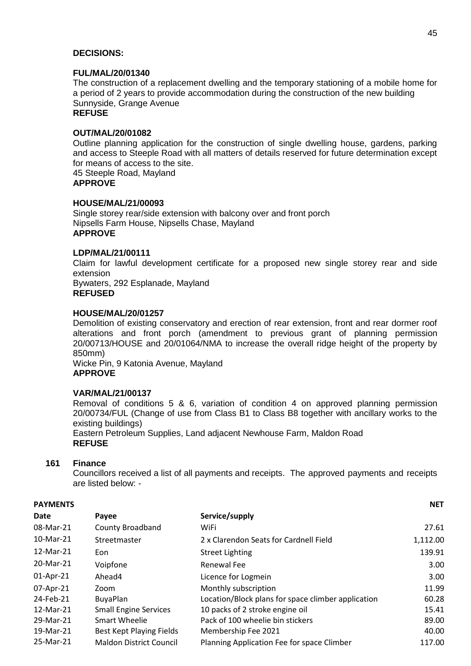### **DECISIONS:**

### **FUL/MAL/20/01340**

The construction of a replacement dwelling and the temporary stationing of a mobile home for a period of 2 years to provide accommodation during the construction of the new building Sunnyside, Grange Avenue **REFUSE**

## **OUT/MAL/20/01082**

Outline planning application for the construction of single dwelling house, gardens, parking and access to Steeple Road with all matters of details reserved for future determination except for means of access to the site.

45 Steeple Road, Mayland **APPROVE**

### **HOUSE/MAL/21/00093**

Single storey rear/side extension with balcony over and front porch Nipsells Farm House, Nipsells Chase, Mayland **APPROVE**

### **LDP/MAL/21/00111**

Claim for lawful development certificate for a proposed new single storey rear and side extension Bywaters, 292 Esplanade, Mayland

# **REFUSED**

#### **HOUSE/MAL/20/01257**

Demolition of existing conservatory and erection of rear extension, front and rear dormer roof alterations and front porch (amendment to previous grant of planning permission 20/00713/HOUSE and 20/01064/NMA to increase the overall ridge height of the property by 850mm)

Wicke Pin, 9 Katonia Avenue, Mayland **APPROVE**

### **VAR/MAL/21/00137**

Removal of conditions 5 & 6, variation of condition 4 on approved planning permission 20/00734/FUL (Change of use from Class B1 to Class B8 together with ancillary works to the existing buildings)

Eastern Petroleum Supplies, Land adjacent Newhouse Farm, Maldon Road **REFUSE**

# **161 Finance**

Councillors received a list of all payments and receipts. The approved payments and receipts are listed below: -

| <b>PAYMENTS</b> |                                |                                                    | <b>NET</b> |
|-----------------|--------------------------------|----------------------------------------------------|------------|
| Date            | Payee                          | Service/supply                                     |            |
| 08-Mar-21       | <b>County Broadband</b>        | WiFi                                               | 27.61      |
| 10-Mar-21       | Streetmaster                   | 2 x Clarendon Seats for Cardnell Field             | 1,112.00   |
| 12-Mar-21       | Eon                            | <b>Street Lighting</b>                             | 139.91     |
| 20-Mar-21       | Voipfone                       | Renewal Fee                                        | 3.00       |
| 01-Apr-21       | Ahead4                         | Licence for Logmein                                | 3.00       |
| 07-Apr-21       | Zoom                           | Monthly subscription                               | 11.99      |
| 24-Feb-21       | <b>BuyaPlan</b>                | Location/Block plans for space climber application | 60.28      |
| 12-Mar-21       | <b>Small Engine Services</b>   | 10 packs of 2 stroke engine oil                    | 15.41      |
| 29-Mar-21       | Smart Wheelie                  | Pack of 100 wheelie bin stickers                   | 89.00      |
| 19-Mar-21       | Best Kept Playing Fields       | Membership Fee 2021                                | 40.00      |
| 25-Mar-21       | <b>Maldon District Council</b> | Planning Application Fee for space Climber         | 117.00     |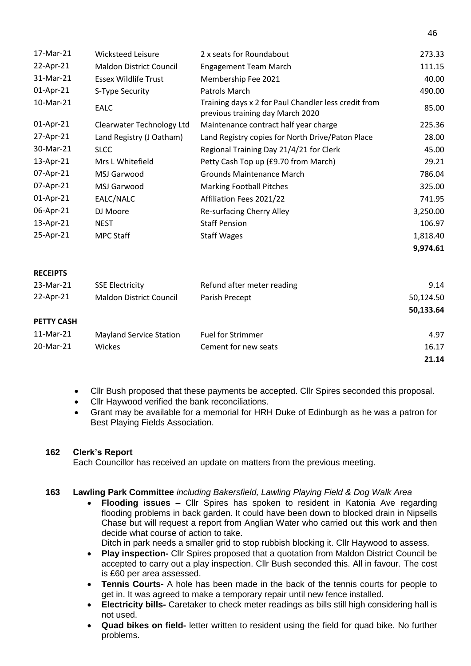| 17-Mar-21       | Wicksteed Leisure              | 2 x seats for Roundabout                                                                 | 273.33    |
|-----------------|--------------------------------|------------------------------------------------------------------------------------------|-----------|
| 22-Apr-21       | <b>Maldon District Council</b> | <b>Engagement Team March</b>                                                             | 111.15    |
| 31-Mar-21       | <b>Essex Wildlife Trust</b>    | Membership Fee 2021                                                                      | 40.00     |
| 01-Apr-21       | S-Type Security                | Patrols March                                                                            | 490.00    |
| 10-Mar-21       | <b>EALC</b>                    | Training days x 2 for Paul Chandler less credit from<br>previous training day March 2020 | 85.00     |
| 01-Apr-21       | Clearwater Technology Ltd      | Maintenance contract half year charge                                                    | 225.36    |
| 27-Apr-21       | Land Registry (J Oatham)       | Land Registry copies for North Drive/Paton Place                                         | 28.00     |
| 30-Mar-21       | <b>SLCC</b>                    | Regional Training Day 21/4/21 for Clerk                                                  | 45.00     |
| 13-Apr-21       | Mrs L Whitefield               | Petty Cash Top up (£9.70 from March)                                                     | 29.21     |
| 07-Apr-21       | MSJ Garwood                    | <b>Grounds Maintenance March</b>                                                         | 786.04    |
| 07-Apr-21       | MSJ Garwood                    | <b>Marking Football Pitches</b>                                                          | 325.00    |
| 01-Apr-21       | EALC/NALC                      | Affiliation Fees 2021/22                                                                 | 741.95    |
| 06-Apr-21       | DJ Moore                       | Re-surfacing Cherry Alley                                                                | 3,250.00  |
| 13-Apr-21       | <b>NEST</b>                    | <b>Staff Pension</b>                                                                     | 106.97    |
| 25-Apr-21       | <b>MPC Staff</b>               | <b>Staff Wages</b>                                                                       | 1,818.40  |
|                 |                                |                                                                                          | 9,974.61  |
| <b>RECEIPTS</b> |                                |                                                                                          |           |
| 23-Mar-21       | <b>SSE Electricity</b>         | Refund after meter reading                                                               | 9.14      |
| 22-Apr-21       | <b>Maldon District Council</b> | Parish Precept                                                                           | 50,124.50 |

46

**50,133.64**

## **PETTY CASH**

| .         |                         |                          |       |
|-----------|-------------------------|--------------------------|-------|
| 11-Mar-21 | Mayland Service Station | <b>Fuel for Strimmer</b> | 4.97  |
| 20-Mar-21 | <b>Wickes</b>           | Cement for new seats     | 16.17 |
|           |                         |                          | 21.14 |

- Cllr Bush proposed that these payments be accepted. Cllr Spires seconded this proposal.
- Cllr Haywood verified the bank reconciliations.
- Grant may be available for a memorial for HRH Duke of Edinburgh as he was a patron for Best Playing Fields Association.

# **162 Clerk's Report**

Each Councillor has received an update on matters from the previous meeting.

# **163 Lawling Park Committee** *including Bakersfield, Lawling Playing Field & Dog Walk Area*

 **Flooding issues –** Cllr Spires has spoken to resident in Katonia Ave regarding flooding problems in back garden. It could have been down to blocked drain in Nipsells Chase but will request a report from Anglian Water who carried out this work and then decide what course of action to take.

Ditch in park needs a smaller grid to stop rubbish blocking it. Cllr Haywood to assess.

- **Play inspection-** Cllr Spires proposed that a quotation from Maldon District Council be accepted to carry out a play inspection. Cllr Bush seconded this. All in favour. The cost is £60 per area assessed.
- **Tennis Courts-** A hole has been made in the back of the tennis courts for people to get in. It was agreed to make a temporary repair until new fence installed.
- **Electricity bills-** Caretaker to check meter readings as bills still high considering hall is not used.
- **Quad bikes on field-** letter written to resident using the field for quad bike. No further problems.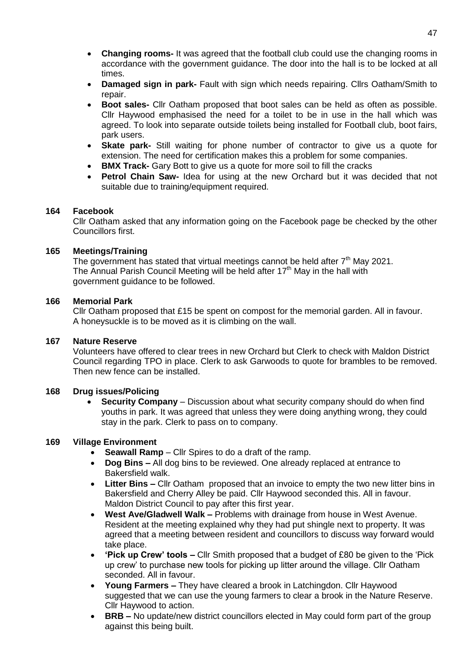- **Changing rooms-** It was agreed that the football club could use the changing rooms in accordance with the government guidance. The door into the hall is to be locked at all times.
- **Damaged sign in park-** Fault with sign which needs repairing. Cllrs Oatham/Smith to repair.
- **Boot sales-** Cllr Oatham proposed that boot sales can be held as often as possible. Cllr Haywood emphasised the need for a toilet to be in use in the hall which was agreed. To look into separate outside toilets being installed for Football club, boot fairs, park users.
- **Skate park-** Still waiting for phone number of contractor to give us a quote for extension. The need for certification makes this a problem for some companies.
- **BMX Track-** Gary Bott to give us a quote for more soil to fill the cracks
- **Petrol Chain Saw-** Idea for using at the new Orchard but it was decided that not suitable due to training/equipment required.

# **164 Facebook**

Cllr Oatham asked that any information going on the Facebook page be checked by the other Councillors first.

## **165 Meetings/Training**

The government has stated that virtual meetings cannot be held after 7<sup>th</sup> May 2021. The Annual Parish Council Meeting will be held after 17<sup>th</sup> May in the hall with government guidance to be followed.

## **166 Memorial Park**

Cllr Oatham proposed that £15 be spent on compost for the memorial garden. All in favour. A honeysuckle is to be moved as it is climbing on the wall.

# **167 Nature Reserve**

Volunteers have offered to clear trees in new Orchard but Clerk to check with Maldon District Council regarding TPO in place. Clerk to ask Garwoods to quote for brambles to be removed. Then new fence can be installed.

# **168 Drug issues/Policing**

 **Security Company** – Discussion about what security company should do when find youths in park. It was agreed that unless they were doing anything wrong, they could stay in the park. Clerk to pass on to company.

# **169 Village Environment**

- **Seawall Ramp** Cllr Spires to do a draft of the ramp.
- **Dog Bins –** All dog bins to be reviewed. One already replaced at entrance to Bakersfield walk.
- **Litter Bins –** Cllr Oatham proposed that an invoice to empty the two new litter bins in Bakersfield and Cherry Alley be paid. Cllr Haywood seconded this. All in favour. Maldon District Council to pay after this first year.
- **West Ave/Gladwell Walk –** Problems with drainage from house in West Avenue. Resident at the meeting explained why they had put shingle next to property. It was agreed that a meeting between resident and councillors to discuss way forward would take place.
- **'Pick up Crew' tools –** Cllr Smith proposed that a budget of £80 be given to the 'Pick up crew' to purchase new tools for picking up litter around the village. Cllr Oatham seconded. All in favour.
- **Young Farmers –** They have cleared a brook in Latchingdon. Cllr Haywood suggested that we can use the young farmers to clear a brook in the Nature Reserve. Cllr Haywood to action.
- **BRB** No update/new district councillors elected in May could form part of the group against this being built.